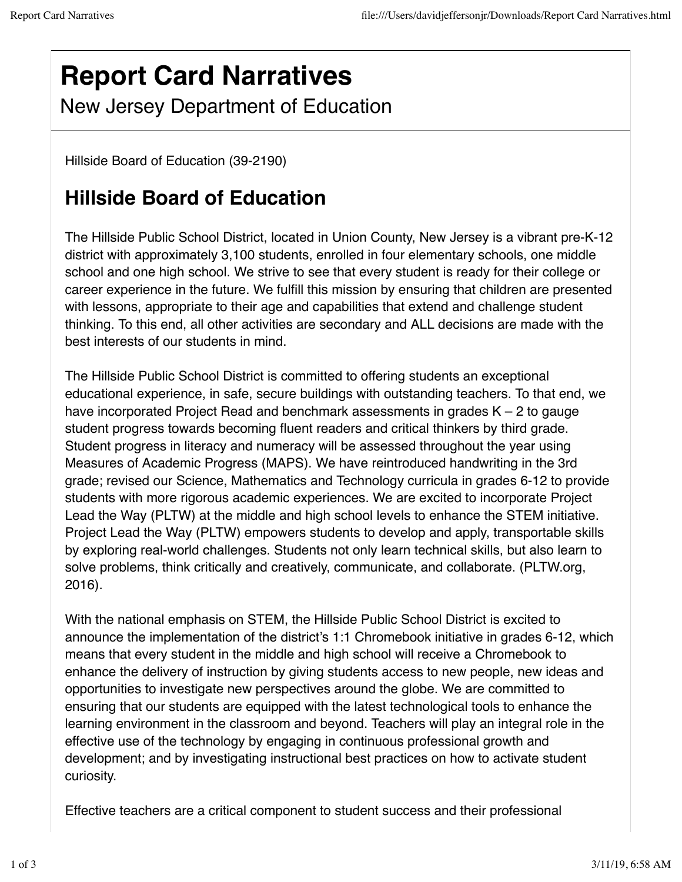## **Report Card Narratives**

New Jersey Department of Education

Hillside Board of Education (39-2190)

## **Hillside Board of Education**

The Hillside Public School District, located in Union County, New Jersey is a vibrant pre-K-12 district with approximately 3,100 students, enrolled in four elementary schools, one middle school and one high school. We strive to see that every student is ready for their college or career experience in the future. We fulfill this mission by ensuring that children are presented with lessons, appropriate to their age and capabilities that extend and challenge student thinking. To this end, all other activities are secondary and ALL decisions are made with the best interests of our students in mind.

The Hillside Public School District is committed to offering students an exceptional educational experience, in safe, secure buildings with outstanding teachers. To that end, we have incorporated Project Read and benchmark assessments in grades K – 2 to gauge student progress towards becoming fluent readers and critical thinkers by third grade. Student progress in literacy and numeracy will be assessed throughout the year using Measures of Academic Progress (MAPS). We have reintroduced handwriting in the 3rd grade; revised our Science, Mathematics and Technology curricula in grades 6-12 to provide students with more rigorous academic experiences. We are excited to incorporate Project Lead the Way (PLTW) at the middle and high school levels to enhance the STEM initiative. Project Lead the Way (PLTW) empowers students to develop and apply, transportable skills by exploring real-world challenges. Students not only learn technical skills, but also learn to solve problems, think critically and creatively, communicate, and collaborate. (PLTW.org, 2016).

With the national emphasis on STEM, the Hillside Public School District is excited to announce the implementation of the district's 1:1 Chromebook initiative in grades 6-12, which means that every student in the middle and high school will receive a Chromebook to enhance the delivery of instruction by giving students access to new people, new ideas and opportunities to investigate new perspectives around the globe. We are committed to ensuring that our students are equipped with the latest technological tools to enhance the learning environment in the classroom and beyond. Teachers will play an integral role in the effective use of the technology by engaging in continuous professional growth and development; and by investigating instructional best practices on how to activate student curiosity.

Effective teachers are a critical component to student success and their professional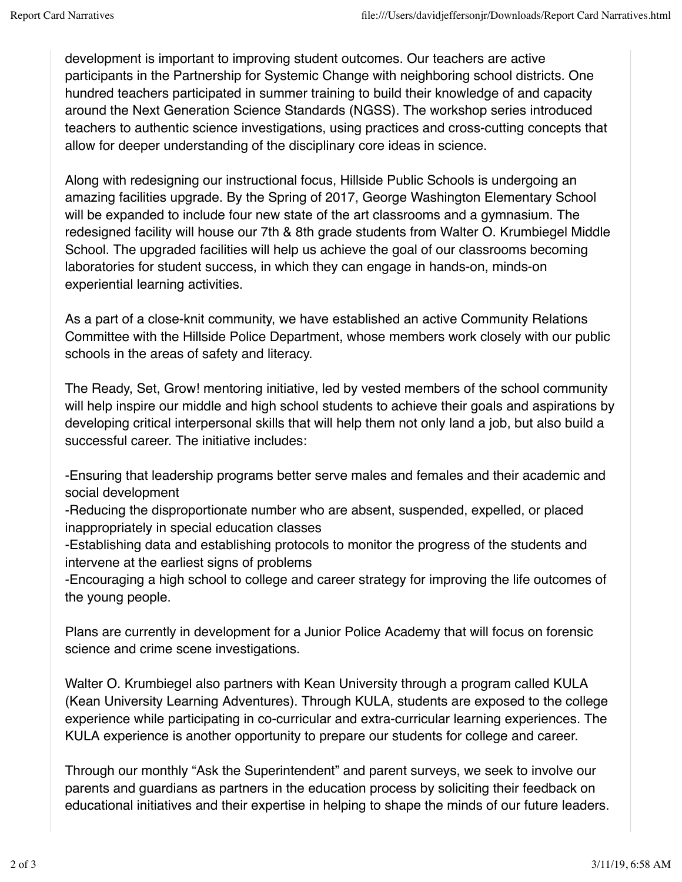development is important to improving student outcomes. Our teachers are active participants in the Partnership for Systemic Change with neighboring school districts. One hundred teachers participated in summer training to build their knowledge of and capacity around the Next Generation Science Standards (NGSS). The workshop series introduced teachers to authentic science investigations, using practices and cross-cutting concepts that allow for deeper understanding of the disciplinary core ideas in science.

Along with redesigning our instructional focus, Hillside Public Schools is undergoing an amazing facilities upgrade. By the Spring of 2017, George Washington Elementary School will be expanded to include four new state of the art classrooms and a gymnasium. The redesigned facility will house our 7th & 8th grade students from Walter O. Krumbiegel Middle School. The upgraded facilities will help us achieve the goal of our classrooms becoming laboratories for student success, in which they can engage in hands-on, minds-on experiential learning activities.

As a part of a close-knit community, we have established an active Community Relations Committee with the Hillside Police Department, whose members work closely with our public schools in the areas of safety and literacy.

The Ready, Set, Grow! mentoring initiative, led by vested members of the school community will help inspire our middle and high school students to achieve their goals and aspirations by developing critical interpersonal skills that will help them not only land a job, but also build a successful career. The initiative includes:

-Ensuring that leadership programs better serve males and females and their academic and social development

-Reducing the disproportionate number who are absent, suspended, expelled, or placed inappropriately in special education classes

-Establishing data and establishing protocols to monitor the progress of the students and intervene at the earliest signs of problems

-Encouraging a high school to college and career strategy for improving the life outcomes of the young people.

Plans are currently in development for a Junior Police Academy that will focus on forensic science and crime scene investigations.

Walter O. Krumbiegel also partners with Kean University through a program called KULA (Kean University Learning Adventures). Through KULA, students are exposed to the college experience while participating in co-curricular and extra-curricular learning experiences. The KULA experience is another opportunity to prepare our students for college and career.

Through our monthly "Ask the Superintendent" and parent surveys, we seek to involve our parents and guardians as partners in the education process by soliciting their feedback on educational initiatives and their expertise in helping to shape the minds of our future leaders.